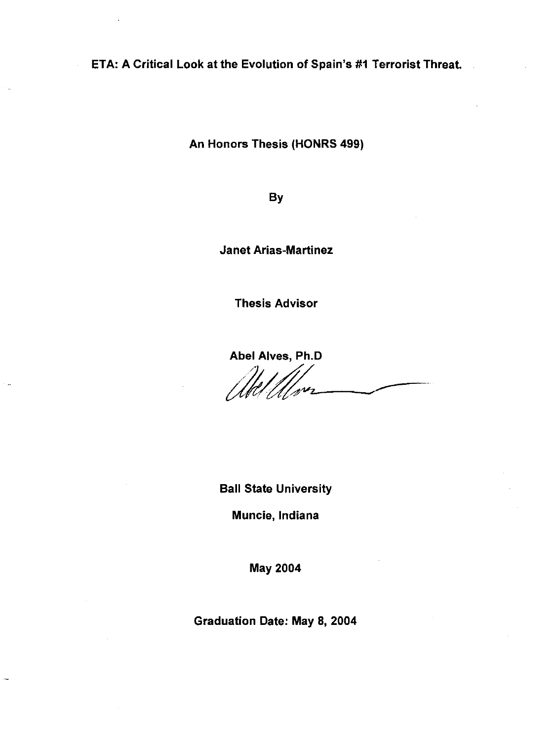ETA: A Critical Look at the Evolution of Spain's #1 Terrorist Threat.

An Honors Thesis (HONRS 499)

By

Janet Arias-Martinez

Thesis Advisor

Abel Alves, Ph.D

 $\mathcal{U}\mathcal{U}\mathcal{U}\mathcal{V}$ 

Ball State University

Muncie, Indiana

May 2004

Graduation Date: May 8, 2004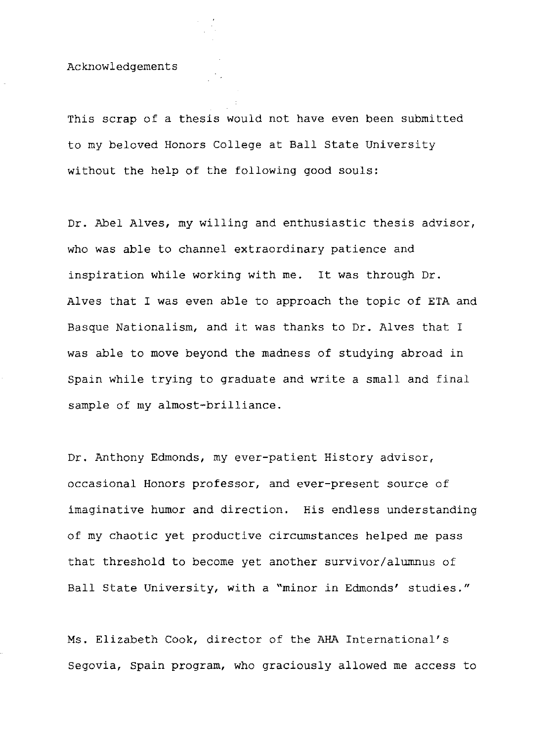Acknowledgements

This scrap of a thesis would not have even been submitted to my beloved Honors College at Ball state University without the help of the following good souls:

Dr. Abel Alves, my willing and enthusiastic thesis advisor, who was able to channel extraordinary patience and inspiration while working with me. It was through Dr. Alves that I was even able to approach the topic of ETA and Basque Nationalism, and it was thanks to Dr. Alves that I was able to move beyond the madness of studying abroad in Spain while trying to graduate and write a small and final sample of my almost-brilliance.

Dr. Anthony Edmonds, my ever-patient History advisor, occasional Honors professor, and ever-present source of imaginative humor and direction. His endless understanding of my chaotic yet productive circumstances helped me pass that threshold to become yet another survivor/alumnus of Ball state University, with a "minor in Edmonds' studies."

Ms. Elizabeth Cook, director of the AHA International's Segovia, Spain program, who graciously allowed me access to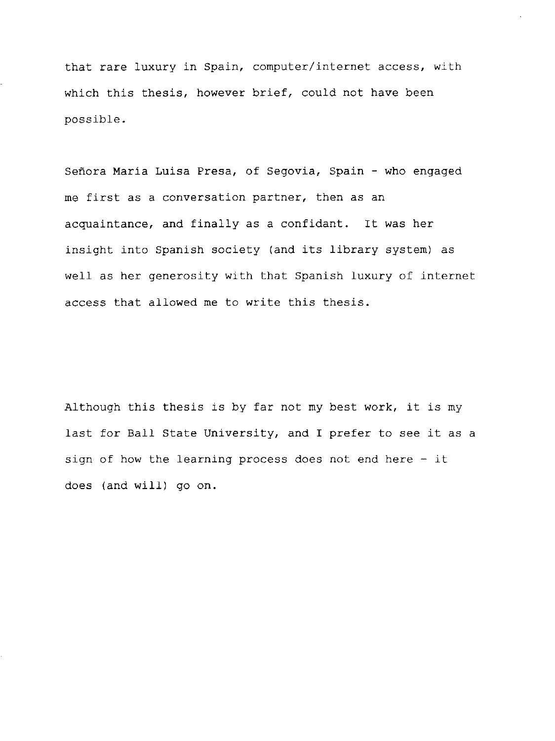that rare luxury in Spain, computer/internet access, with which this thesis, however brief, could not have been possible.

Señora María Luisa Presa, of Segovia, Spain - who engaged me first as a conversation partner, then as an acquaintance, and finally as a confidant. It was her insight into Spanish society (and its library system) as well as her generosity with that Spanish luxury of internet access that allowed me to write this thesis.

Although this thesis is by far not my best work, it is my last for Ball State University, and I prefer to see it as a sign of how the learning process does not end here - it does (and will) go on.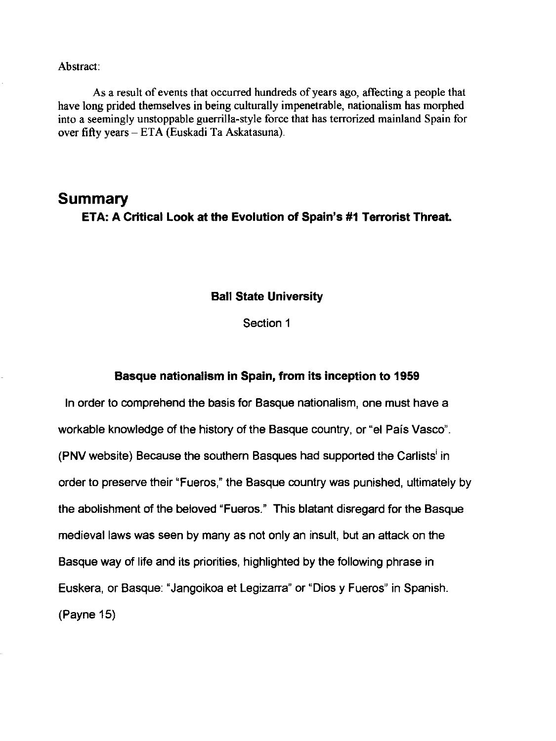#### Abstract:

As a result of events that occurred hundreds of years ago, affecting a people that have long prided themselves in being culturally impenetrable, nationalism has morphed into a seemingly unstoppable guerrilla-style force that has terrorized mainland Spain for over fifty years - ETA (Euskadi Ta Askatasuna).

# **Summary ETA: A Critical Look at the Evolution of Spain's #1 Terrorist Threat.**

### **Ball State University**

Section 1

### **Basque nationalism in Spain, from its inception to 1959**

In order to comprehend the basis for Basque nationalism, one must have a workable knowledge of the history of the Basque country, or "el Pais Vasco". (PNV website) Because the southern Basques had supported the Carlists<sup>i</sup> in order to preserve their "Fueros," the Basque country was punished, ultimately by the abolishment of the beloved "Fueros." This blatant disregard for the Basque medieval laws was seen by many as not only an insult, but an attack on the Basque way of life and its priorities, highlighted by the following phrase in Euskera, or Basque: "Jangoikoa et Legizarra" or "Dios y Fueros" in Spanish. (Payne 15)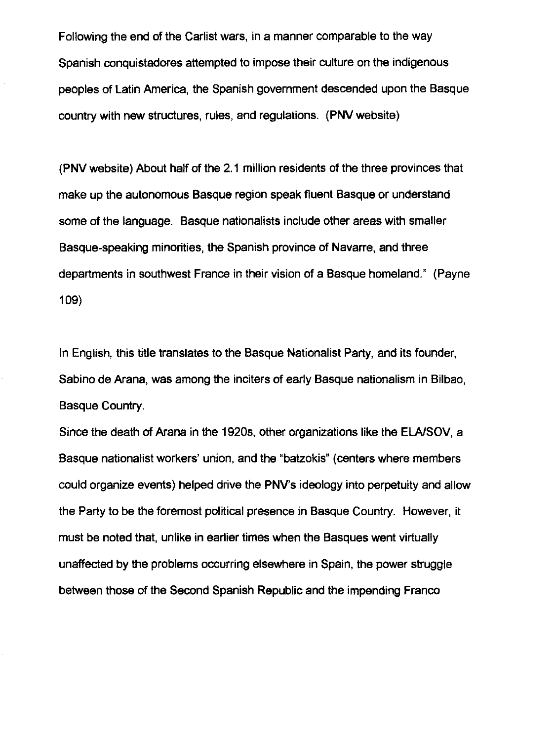Following the end of the Carlist wars, in a manner comparable to the way Spanish conquistadores attempted to impose their culture on the indigenous peoples of Latin America, the Spanish government descended upon the Basque country with new structures, rules, and regulations. (PNV website)

(PNV website) About half of the 2.1 million residents of the three provinces that make up the autonomous Basque region speak fluent Basque or understand some of the language. Basque nationalists include other areas with smaller Basque-speaking minorities, the Spanish province of Navarre, and three departments in southwest France in their vision of a Basque homeland." (Payne 109)

In English, this title translates to the Basque Nationalist Party, and its founder, Sabino de Arana, was among the inciters of early Basque nationalism in Bilbao, Basque Country.

Since the death of Arana in the 1920s, other organizations like the ELAISOV, a Basque nationalist workers' union, and the "batzokis" (centers where members could organize events) helped drive the PNV's ideology into perpetuity and allow the Party to be the foremost political presence in Basque Country. However, it must be noted that, unlike in earlier times when the Basques went virtually unaffected by the problems occurring elsewhere in Spain, the power struggle between those of the Second Spanish Republic and the impending Franco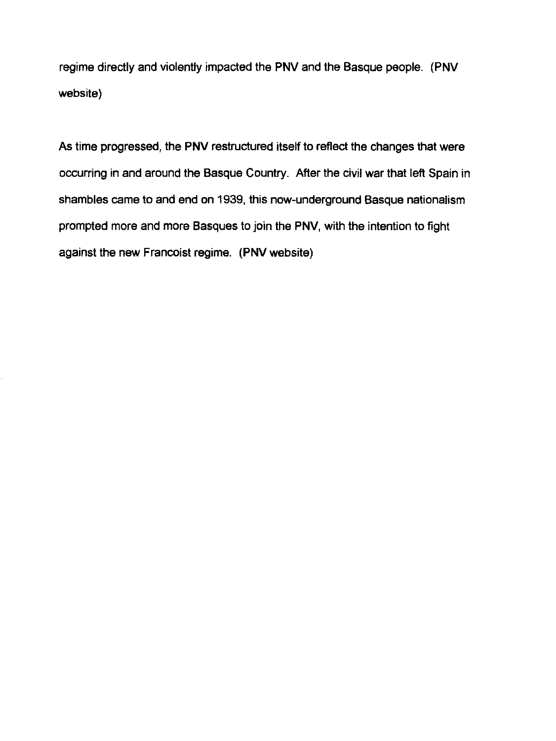regime directly and violently impacted the PNVand the Basque people. (PNV website)

As time progressed, the **PNV** restructured itself to reflect the changes that were occurring in and around the Basque Country. After the civil war that left Spain in shambles came to and end on 1939, this now-underground Basque nationalism prompted more and more Basques to join the **PNV,** with the intention to fight against the new Francoist regime. (PNV website)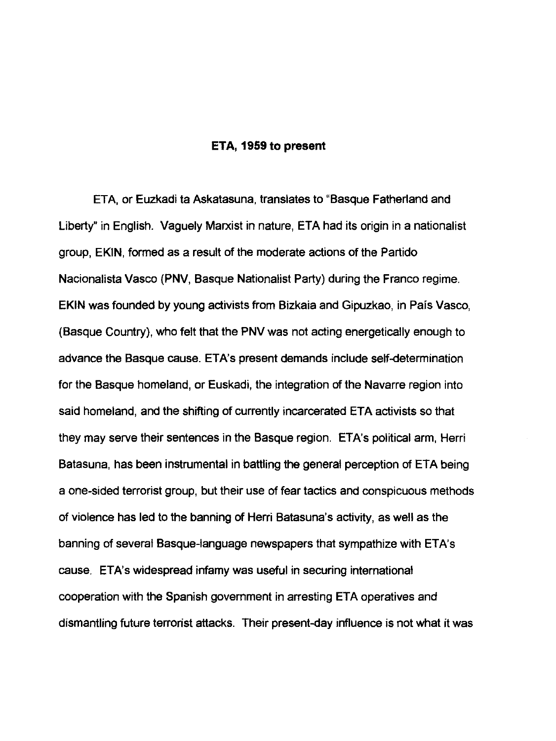#### ETA, 1959 to present

ETA, or Euzkadi ta Askatasuna, translates to "Basque Fatherland and Liberty" in English. Vaguely Marxist in nature, ETA had its origin in a nationalist group, EKIN, formed as a result of the moderate actions of the Partido Nacionalista Vasco (PNV, Basque Nationalist Party) during the Franco regime. EKIN was founded by young activists from Bizkaia and Gipuzkao, in Pais Vasco, (Basque Country), who felt that the PNV was not acting energetically enough to advance the Basque cause. ETA's present demands include self-determination for the Basque homeland, or Euskadi, the integration of the Navarre region into said homeland, and the shifting of currently incarcerated ETA activists so that they may serve their sentences in the Basque region. ETA's political arm, Herri Batasuna, has been instrumental in battling the general perception of ETA being a one-sided terrorist group, but their use of fear tactics and conspicuous methods of violence has led to the banning of Herri Batasuna's activity, as well as the banning of several Basque-language newspapers that sympathize with ETA's cause. ETA's widespread infamy was useful in securing international cooperation with the Spanish government in arresting ETA operatives and dismantling future terrorist attacks. Their present-day influence is not what it was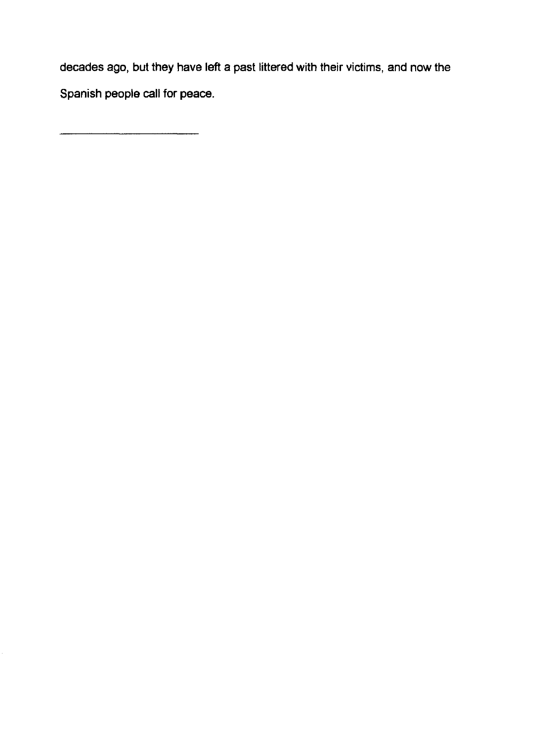decades ago, but they have left a past littered with their victims, and now the Spanish people call for peace.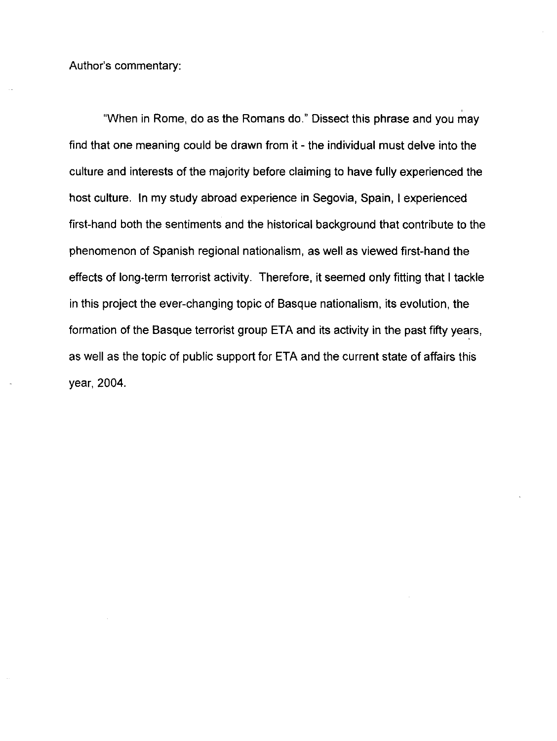Author's commentary:

"When in Rome, do as the Romans do." Dissect this phrase and you may find that one meaning could be drawn from it - the individual must delve into the culture and interests of the majority before claiming to have fully experienced the host culture. In my study abroad experience in Segovia, Spain, I experienced first-hand both the sentiments and the historical background that contribute to the phenomenon of Spanish regional nationalism, as well as viewed first-hand the effects of long-term terrorist activity. Therefore, it seemed only fitting that I tackle in this project the ever-changing topic of Basque nationalism, its evolution, the formation of the Basque terrorist group ETA and its activity in the past fifty years, as well as the topic of public support for ETA and the current state of affairs this year, 2004.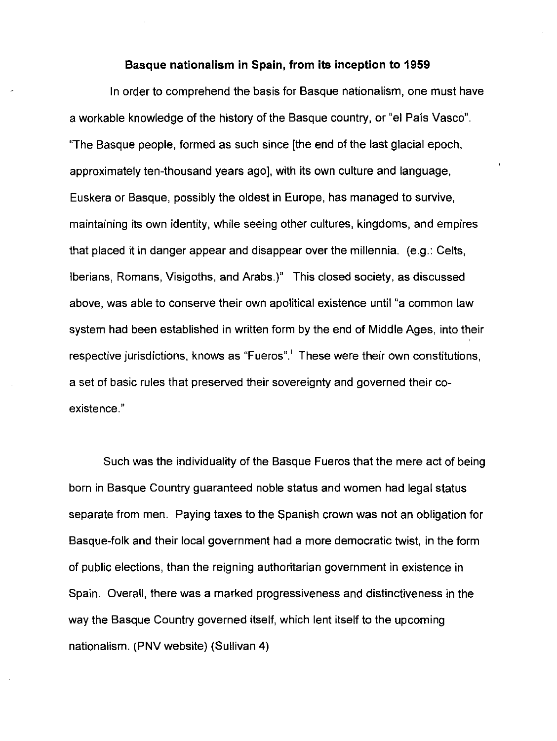#### Basque nationalism in Spain, from its inception to 1959

In order to comprehend the basis for Basque nationalism, one must have a workable knowledge of the history of the Basque country, or "el Pais Vasco". "The Basque people, formed as such since [the end of the last glacial epoch, approximately ten-thousand years ago], with its own culture and language, Euskera or Basque, possibly the oldest in Europe, has managed to survive, maintaining its own identity, while seeing other cultures, kingdoms, and empires that placed it in danger appear and disappear over the millennia. (e.g.: Celts, Iberians, Romans, Visigoths, and Arabs.)" This closed society, as discussed above, was able to conserve their own apolitical existence until "a common law system had been established in written form by the end of Middle Ages, into their respective jurisdictions, knows as "Fueros".<sup>1</sup> These were their own constitutions, a set of basic rules that preserved their sovereignty and governed their coexistence."

Such was the individuality of the Basque Fueros that the mere act of being born in Basque Country guaranteed noble status and women had legal status separate from men. Paying taxes to the Spanish crown was not an obligation for Basque-folk and their local government had a more democratic twist, in the form of public elections, than the reigning authoritarian government in existence in Spain. Overall, there was a marked progressiveness and distinctiveness in the way the Basque Country governed itself, which lent itself to the upcoming nationalism. (PNV website) (Sullivan 4)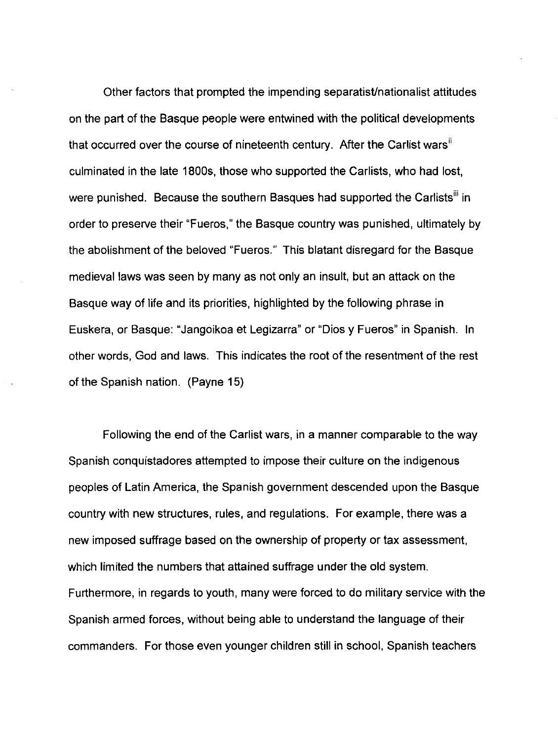Other factors that prompted the impending separatist/nationalist attitudes on the part of the Basque people were entwined with the political developments that occurred over the course of nineteenth century. After the Carlist wars<sup>ii</sup> culminated in the late 1800s, those who supported the Carlists, who had lost, were punished. Because the southern Basques had supported the Carlists<sup>iii</sup> in order to preserve their "Fueros," the Basque country was punished, ultimately by the abolishment of the beloved "Fueros." This blatant disregard for the Basque medieval laws was seen by many as not only an insult, but an attack on the Basque way of life and its priorities, highlighted by the following phrase in Euskera, or Basque: "Jangoikoa et Legizarra" or "Dios y Fueros" in Spanish. In other words, God and laws. This indicates the root of the resentment of the rest of the Spanish nation. (Payne 15)

Following the end of the Carlist wars, in a manner comparable to the way Spanish conquistadores attempted to impose their culture on the indigenous peoples of Latin America, the Spanish government descended upon the Basque country with new structures, rules, and regulations. For example, there was a new imposed suffrage based on the ownership of property or tax assessment, which limited the numbers that attained suffrage under the old system. Furthermore, in regards to youth, many were forced to do military service with the Spanish armed forces, without being able to understand the language of their commanders. For those even younger children still in school, Spanish teachers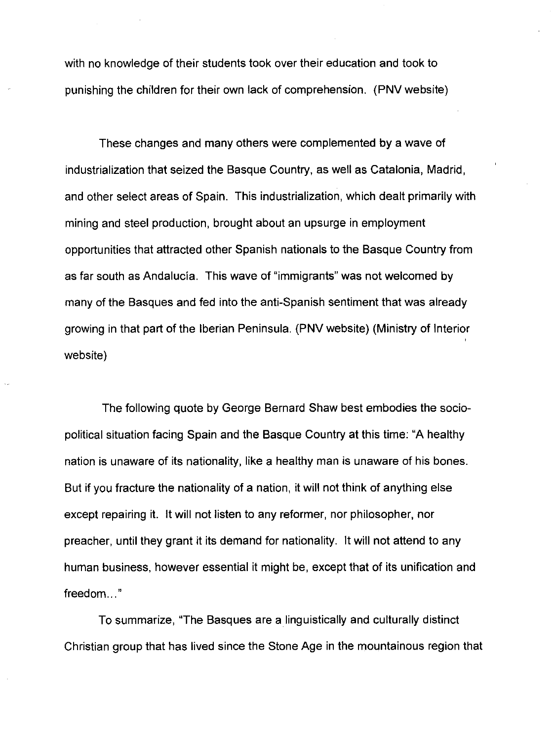with no knowledge of their students took over their education and took to punishing the children for their own lack of comprehension. (PNV website)

These changes and many others were complemented by a wave of industrialization that seized the Basque Country, as well as Catalonia, Madrid, and other select areas of Spain. This industrialization, which dealt primarily with mining and steel production, brought about an upsurge in employment opportunities that attracted other Spanish nationals to the Basque Country from as far south as Andalucia. This wave of "immigrants" was not welcomed by many of the Basques and fed into the anti-Spanish sentiment that was already growing in that part of the Iberian Peninsula. (PNV website) (Ministry of Interior website)

The following quote by George Bernard Shaw best embodies the sociopolitical situation facing Spain and the Basque Country at this time: "A healthy nation is unaware of its nationality, like a healthy man is unaware of his bones. But if you fracture the nationality of a nation, it will not think of anything else except repairing it. It will not listen to any reformer, nor philosopher, nor preacher, until they grant it its demand for nationality. It will not attend to any human business, however essential it might be, except that of its unification and freedom..."

To summarize, "The Basques are a linguistically and culturally distinct Christian group that has lived since the Stone Age in the mountainous region that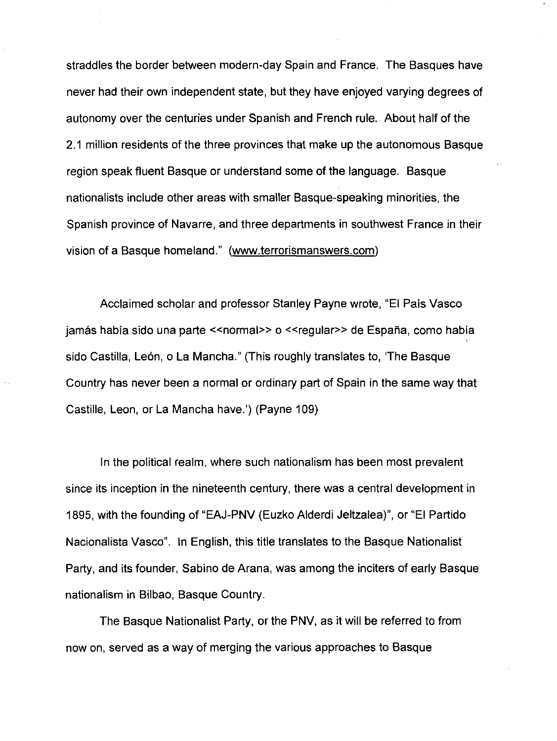straddles the border between modern-day Spain and France. The Basques have never had their own independent state, but they have enjoyed varying degrees of autonomy over the centuries under Spanish and French rule. About half of the 2.1 million residents of the three provinces that make up the autonomous Basque region speak fluent Basque or understand some of the language. Basque nationalists include other areas with smaller Basque-speaking minorities, the Spanish province of Navarre, and three departments in southwest France in their vision of a Basque homeland." (www.terrorismanswers.com)

Acclaimed scholar and professor Stanley Payne wrote, "EI Pais Vasco jamás había sido una parte << normal >> 0 << regular >> de España, como había sido Castilla, León, o La Mancha." (This roughly translates to, 'The Basque Country has never been a normal or ordinary part of Spain in the same way that Castille, Leon, or La Mancha have.') (Payne 109)

In the political realm, where such nationalism has been most prevalent since its inception in the nineteenth century, there was a central development in 1895, with the founding of "EAJ-PNV (Euzko Alderdi Jeltzalea)", or "EI Partido Nacionalista Vasco". In English, this title translates to the Basque Nationalist Party, and its founder, Sabino de Arana, was among the inciters of early Basque nationalism in Bilbao, Basque Country.

The Basque Nationalist Party, or the PNV, as it will be referred to from now on, served as a way of merging the various approaches to Basque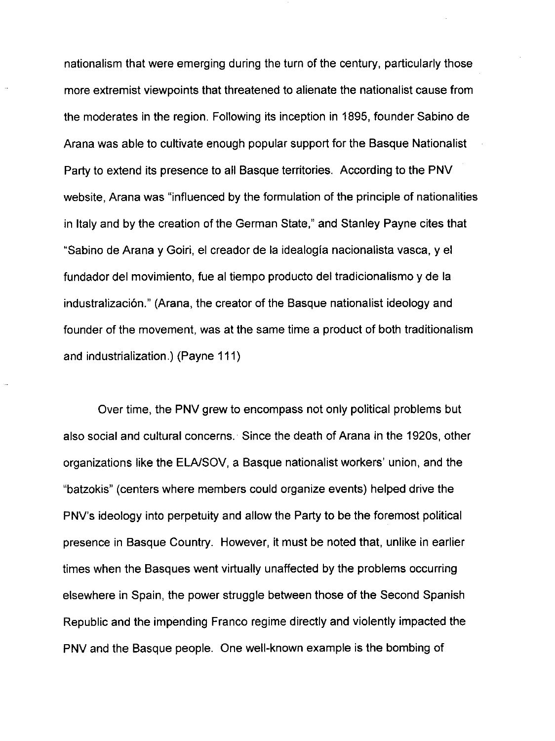nationalism that were emerging during the turn of the century, particularly those more extremist viewpoints that threatened to alienate the nationalist cause from the moderates in the region. Following its inception in 1895, founder Sabino de Arana was able to cultivate enough popular support for the Basque Nationalist Party to extend its presence to all Basque territories. According to the PNV website, Arana was "influenced by the formulation of the principle of nationalities in Italy and by the creation of the German State," and Stanley Payne cites that "Sabino de Arana y Goiri, el creador de la idealogia nacionalista vasca, y el fundador del movimiento, fue al tiempo producto del tradicionalismo y de la industralizaci6n." (Arana, the creator of the Basque nationalist ideology and founder of the movement, was at the same time a product of both traditionalism and industrialization.) (Payne 111)

Over time, the PNV grew to encompass not only political problems but also social and cultural concerns. Since the death of Arana in the 1920s, other organizations like the ELAISOV, a Basque nationalist workers' union, and the "batzokis" (centers where members could organize events) helped drive the PNV's ideology into perpetuity and allow the Party to be the foremost political presence in Basque Country. However, it must be noted that, unlike in earlier times when the Basques went virtually unaffected by the problems occurring elsewhere in Spain, the power struggle between those of the Second Spanish Republic and the impending Franco regime directly and violently impacted the PNV and the Basque people. One well-known example is the bombing of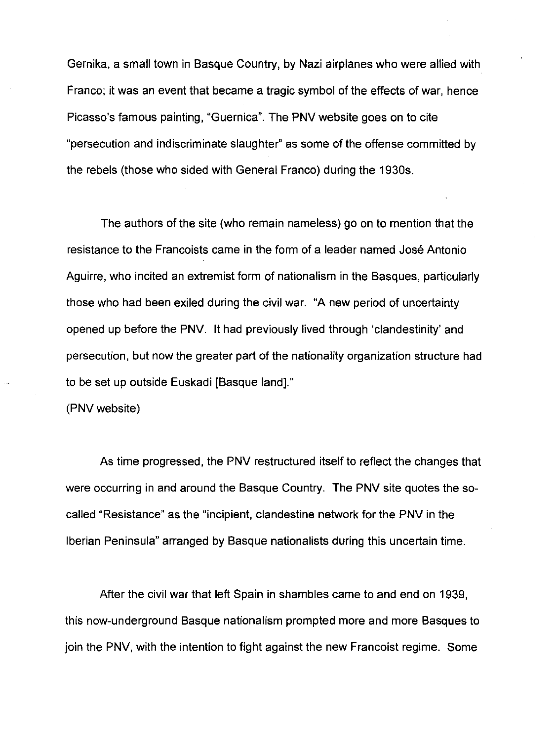Gernika, a small town in Basque Country, by Nazi airplanes who were allied with Franco; it was an event that became a tragic symbol of the effects of war, hence Picasso's famous painting, "Guernica". The PNV website goes on to cite "persecution and indiscriminate slaughter" as some of the offense committed by the rebels (those who sided with General Franco) during the 1930s.

The authors of the site (who remain nameless) go on to mention that the resistance to the Francoists came in the form of a leader named Jose Antonio Aguirre, who incited an extremist form of nationalism in the Basques, particularly those who had been exiled during the civil war. "A new period of uncertainty opened up before the PNV. It had previously lived through 'clandestinity' and persecution, but now the greater part of the nationality organization structure had to be set up outside Euskadi [Basque land]."

(PNV website)

As time progressed, the PNV restructured itself to reflect the changes that were occurring in and around the Basque Country. The PNV site quotes the socalled "Resistance" as the "incipient, clandestine network for the PNV in the Iberian Peninsula" arranged by Basque nationalists during this uncertain time.

After the civil war that left Spain in shambles came to and end on 1939, this now-underground Basque nationalism prompted more and more Basques to join the PNV, with the intention to fight against the new Francoist regime. Some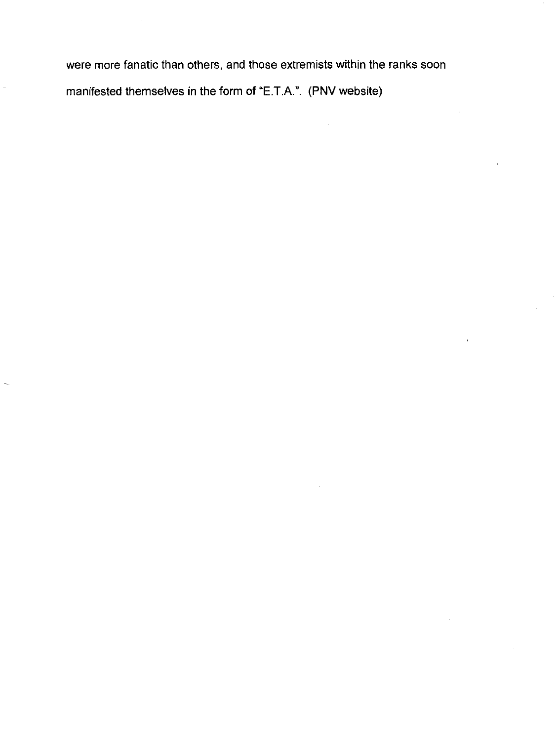were more fanatic than others, and those extremists within the ranks soon manifested themselves in the form of "E.T.A.". (PNV website)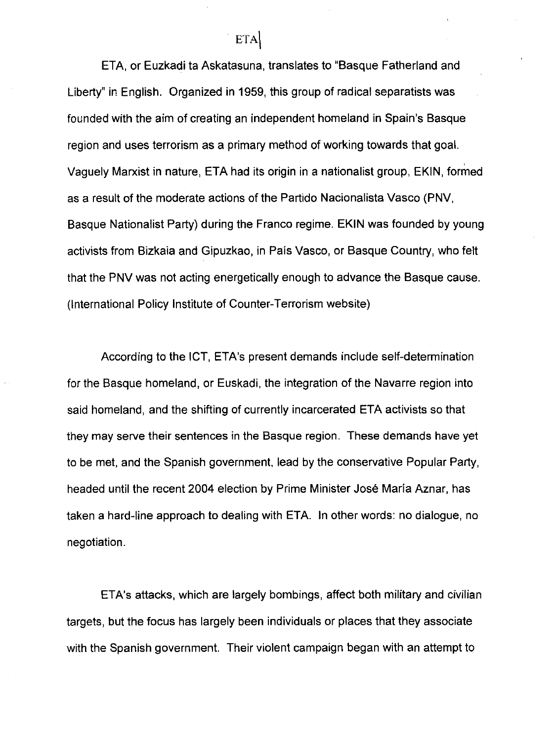ETA, or Euzkadi ta Askatasuna, translates to "Basque Fatherland and Liberty" in English. Organized in 1959, this group of radical separatists was founded with the aim of creating an independent homeland in Spain's Basque region and uses terrorism as a primary method of working towards that goal. Vaguely Marxist in nature, ETA had its origin in a nationalist group, EKIN, formed as a result of the moderate actions of the Partido Nacionalista Vasco (PNV, Basque Nationalist Party) during the Franco regime. EKIN was founded by young activists from Bizkaia and Gipuzkao, in Pais Vasco, or Basque Country, who felt that the PNV was not acting energetically enough to advance the Basque cause. (International Policy Institute of Counter-Terrorism website)

According to the ICT, ETA's present demands include self-determination for the Basque homeland, or Euskadi, the integration of the Navarre region into said homeland, and the shifting of currently incarcerated ETA activists so that they may serve their sentences in the Basque region. These demands have yet to be met, and the Spanish government, lead by the conservative Popular Party, headed until the recent 2004 election by Prime Minister José María Aznar, has taken a hard-line approach to dealing with ETA. In other words: no dialogue, no negotiation.

ETA's attacks, which are largely bombings, affect both military and civilian targets, but the focus has largely been individuals or places that they associate with the Spanish government. Their violent campaign began with an attempt to

ETA<sup>\</sup>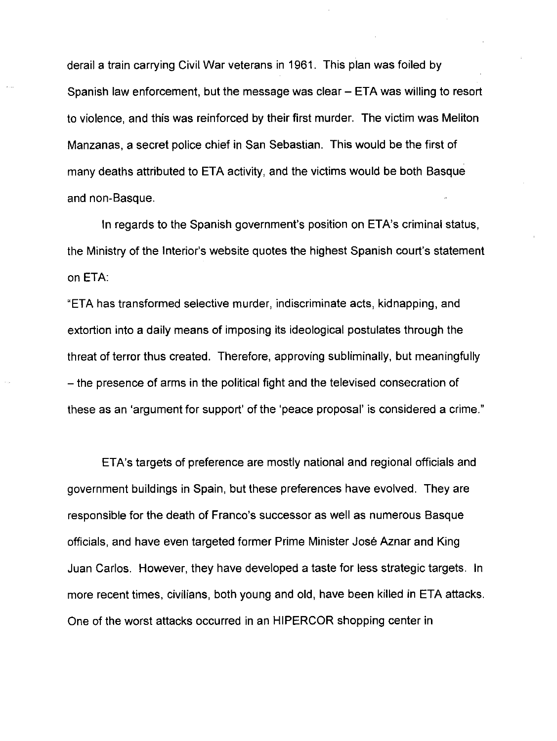derail a train carrying Civil War veterans in 1961. This plan was foiled by Spanish law enforcement, but the message was clear - ETA was willing to resort to violence, and this was reinforced by their first murder. The victim was Meliton Manzanas, a secret police chief in San Sebastian. This would be the first of many deaths attributed to ETA activity, and the victims would be both Basque and non-Basque.

In regards to the Spanish government's position on ETA's criminal status, the Ministry of the Interior's website quotes the highest Spanish court's statement on ETA:

"ETA has transformed selective murder, indiscriminate acts, kidnapping, and extortion into a daily means of imposing its ideological postulates through the threat of terror thus created. Therefore, approving subliminally, but meaningfully - the presence of arms in the political fight and the televised consecration of these as an 'argument for support' of the 'peace proposal' is considered a crime."

ETA's targets of preference are mostly national and regional officials and government buildings in Spain, but these preferences have evolved. They are responsible for the death of Franco's successor as well as numerous Basque officials, and have even targeted former Prime Minister Jose Aznar and King Juan Carlos. However, they have developed a taste for less strategic targets. In more recent times, civilians, both young and old, have been killed in ETA attacks. One of the worst attacks occurred in an HIPERCOR shopping center in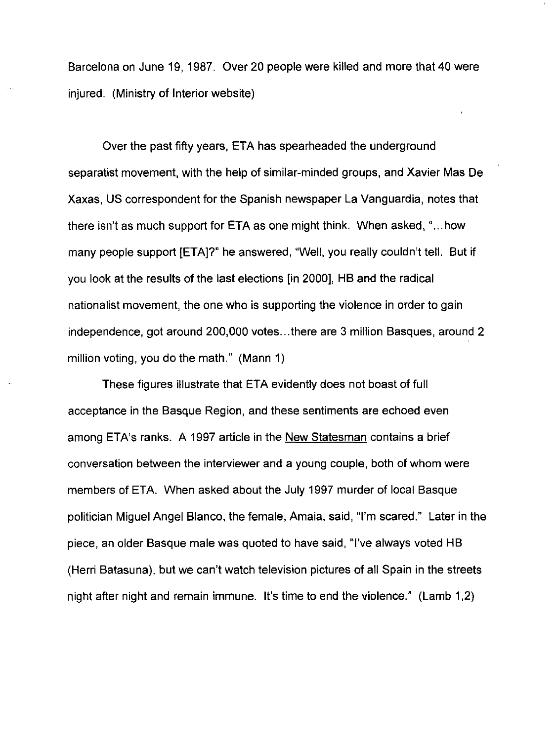Barcelona on June 19, 1987. Over 20 people were killed and more that 40 were injured. (Ministry of Interior website)

Over the past fifty years, ETA has spearheaded the underground separatist movement, with the help of similar-minded groups, and Xavier Mas De Xaxas, US correspondent for the Spanish newspaper La Vanguardia, notes that there isn't as much support for ETA as one might think. When asked, " ... how many people support [ETA]?" he answered, "Well, you really couldn't tell. But if you look at the results of the last elections [in 2000], HB and the radical nationalist movement, the one who is supporting the violence in order to gain independence, got around 200,000 votes...there are 3 million Basques, around 2 million voting, you do the math." (Mann 1)

These figures illustrate that ETA evidently does not boast of full acceptance in the Basque Region, and these sentiments are echoed even among ETA's ranks. A 1997 article in the New Statesman contains a brief conversation between the interviewer and a young couple, both of whom were members of ETA. When asked about the July 1997 murder of local Basque politician Miguel Angel Blanco, the female, Amaia, said, "I'm scared." Later in the piece, an older Basque male was quoted to have said, "I've always voted HB (Herri Batasuna), but we can't watch television pictures of all Spain in the streets night after night and remain immune. It's time to end the violence." (Lamb 1,2)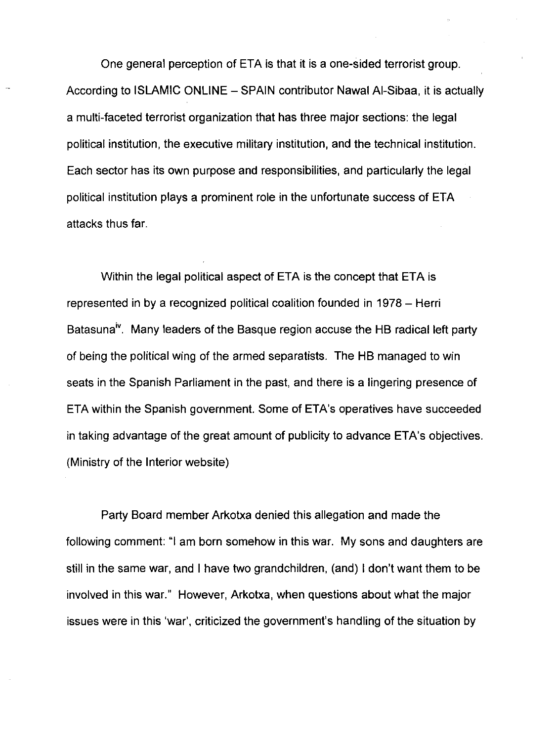One general perception of ETA is that it is a one-sided terrorist group. According to ISLAMIC ONLINE - SPAIN contributor Nawal Al-Sibaa, it is actually a multi-faceted terrorist organization that has three major sections: the legal political institution, the executive military institution, and the technical institution. Each sector has its own purpose and responsibilities, and particularly the legal political institution plays a prominent role in the unfortunate success of ETA attacks thus far.

Within the legal political aspect of ETA is the concept that ETA is represented in by a recognized political coalition founded in 1978 – Herri Batasuna<sup>iv</sup>. Many leaders of the Basque region accuse the HB radical left party of being the political wing of the armed separatists. The HB managed to win seats in the Spanish Parliament in the past, and there is a lingering presence of ETA within the Spanish government. Some of ETA's operatives have succeeded in taking advantage of the great amount of publicity to advance ETA's objectives. (Ministry of the Interior website)

Party Board member Arkotxa denied this allegation and made the following comment: "I am born somehow in this war. My sons and daughters are still in the same war, and I have two grandchildren, (and) I don't want them to be involved in this war." However, Arkotxa, when questions about what the major issues were in this 'war', criticized the government's handling of the situation by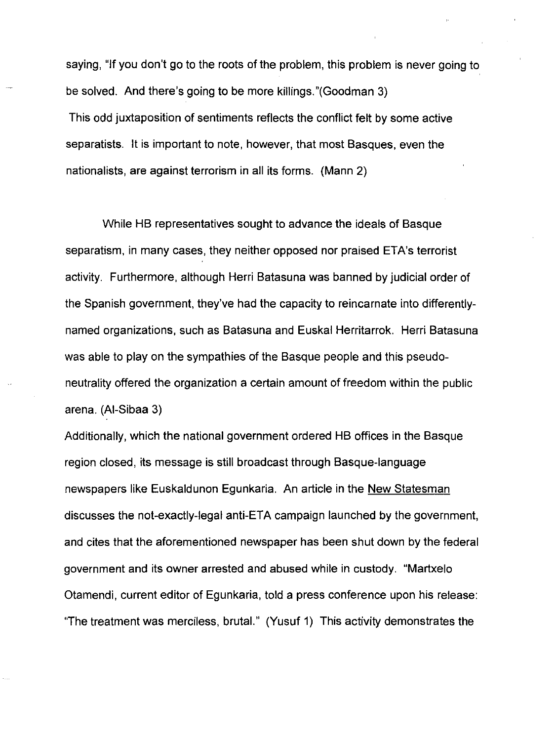saying, "If you don't go to the roots of the problem, this problem is never going to be solved. And there's going to be more killings."(Goodman 3) This odd juxtaposition of sentiments reflects the conflict felt by some active separatists. It is important to note, however, that most Basques, even the nationalists, are against terrorism in all its forms. (Mann 2)

While HB representatives sought to advance the ideals of Basque separatism, in many cases, they neither opposed nor praised ETA's terrorist activity. Furthermore, although Herri Batasuna was banned by judicial order of the Spanish government, they've had the capacity to reincarnate into differentlynamed organizations, such as Batasuna and Euskal Herritarrok. Herri Batasuna was able to play on the sympathies of the Basque people and this pseudoneutrality offered the organization a certain amount of freedom within the public arena. (AI-Sibaa 3)

Additionally, which the national government ordered HB offices in the Basque region closed, its message is still broadcast through Basque-language newspapers like Euskaldunon Egunkaria. An article in the New Statesman discusses the not-exactly-legal anti-ETA campaign launched by the government, and cites that the aforementioned newspaper has been shut down by the federal government and its owner arrested and abused while in custody. "Martxelo Otamendi, current editor of Egunkaria, told a press conference upon his release: "The treatment was merciless, brutal." (Yusuf 1) This activity demonstrates the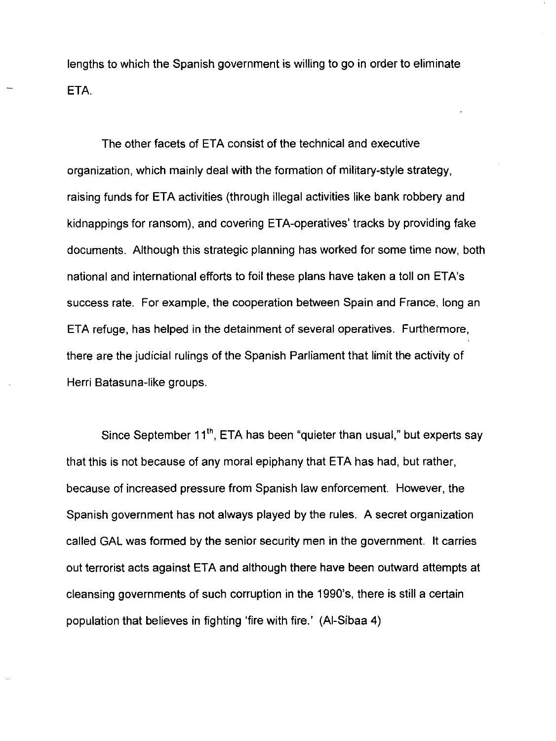lengths to which the Spanish government is willing to go in order to eliminate ETA.

The other facets of ETA consist of the technical and executive organization, which mainly deal with the formation of military-style strategy, raising funds for ETA activities (through illegal activities like bank robbery and kidnappings for ransom), and covering ETA-operatives' tracks by providing fake documents. Although this strategic planning has worked for some time now, both national and international efforts to foil these plans have taken a toll on ETA's success rate. For example, the cooperation between Spain and France, long an ETA refuge, has helped in the detainment of several operatives. Furthermore, there are the judicial rulings of the Spanish Parliament that limit the activity of Herri Batasuna-like groups.

Since September  $11^{th}$ , ETA has been "quieter than usual," but experts say that this is not because of any moral epiphany that ETA has had, but rather, because of increased pressure from Spanish law enforcement. However, the Spanish government has not always played by the rules. A secret organization called GAL was formed by the senior security men in the government. It carries out terrorist acts against ETA and although there have been outward attempts at cleansing governments of such corruption in the 1990's, there is still a certain population that believes in fighting 'fire with fire.' (AI-Sibaa 4)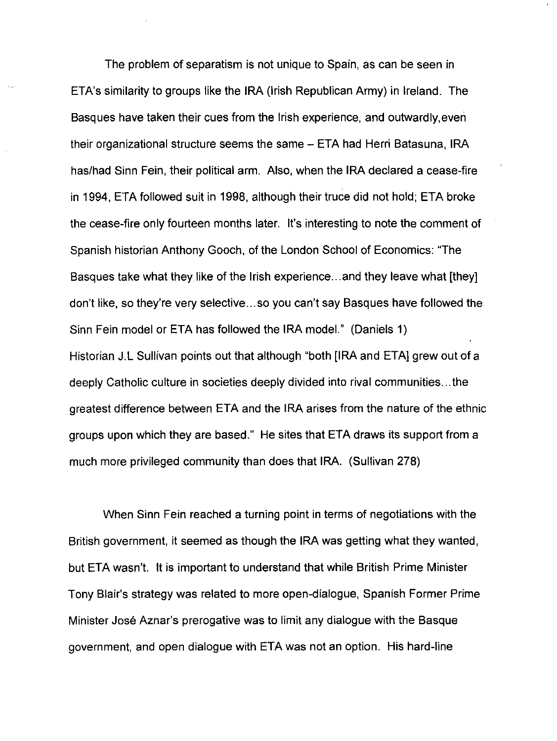The problem of separatism is not unique to Spain, as can be seen in ETA's similarity to groups like the IRA (Irish Republican Army) in Ireland. The Basques have taken their cues from the Irish experience, and outwardly,even their organizational structure seems the same – ETA had Herri Batasuna, IRA has/had Sinn Fein, their political arm. Also, when the IRA declared a cease-fire in 1994, ETA followed suit in 1998, although their truce did not hold; ETA broke the cease-fire only fourteen months later. It's interesting to note the comment of Spanish historian Anthony Gooch, of the London School of Economics: "The Basques take what they like of the Irish experience ... and they leave what [they] don't like, so they're very selective ... so you can't say Basques have followed the Sinn Fein model or ETA has followed the IRA modeL" (Daniels 1) Historian J.L Sullivan points out that although "both [IRA and ETA] grew out of a deeply Catholic culture in societies deeply divided into rival communities ... the greatest difference between ETA and the IRA arises from the nature of the ethnic groups upon which they are based." He sites that ETA draws its support from a much more privileged community than does that IRA. (Sullivan 278)

When Sinn Fein reached a turning point in terms of negotiations with the British government, it seemed as though the IRA was getting what they wanted, but ETA wasn't. It is important to understand that while British Prime Minister Tony Blair's strategy was related to more open-dialogue, Spanish Former Prime Minister Jose Aznar's prerogative was to limit any dialogue with the Basque government, and open dialogue with ETA was not an option. His hard-line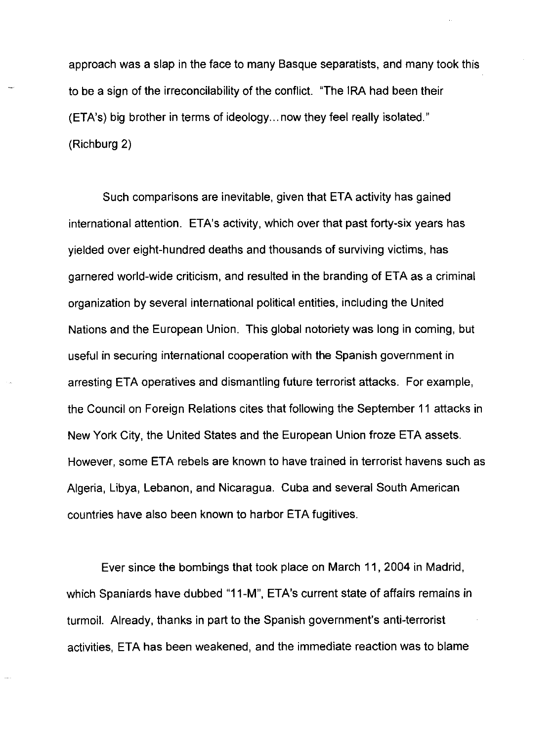approach was a slap in the face to many Basque separatists, and many took this to be a sign of the irreconcilability of the conflict. "The IRA had been their (ETA's) big brother in terms of ideology ... now they feel really isolated." (Richburg 2)

Such comparisons are inevitable, given that ETA activity has gained international attention. ETA's activity, which over that past forty-six years has yielded over eight-hundred deaths and thousands of surviving victims, has garnered world-wide criticism, and resulted in the branding of ETA as a criminal organization by several international political entities, including the United Nations and the European Union. This global notoriety was long in coming, but useful in securing international cooperation with the Spanish government in arresting ETA operatives and dismantling future terrorist attacks. For example, the Council on Foreign Relations cites that following the September 11 attacks in New York City, the United States and the European Union froze ETA assets. However, some ETA rebels are known to have trained in terrorist havens such as Algeria, Libya, Lebanon, and Nicaragua. Cuba and several South American countries have also been known to harbor ETA fugitives.

Ever since the bombings that took place on March 11, 2004 in Madrid, which Spaniards have dubbed "11-M", ETA's current state of affairs remains in turmoil. Already, thanks in part to the Spanish government's anti-terrorist activities, ETA has been weakened, and the immediate reaction was to blame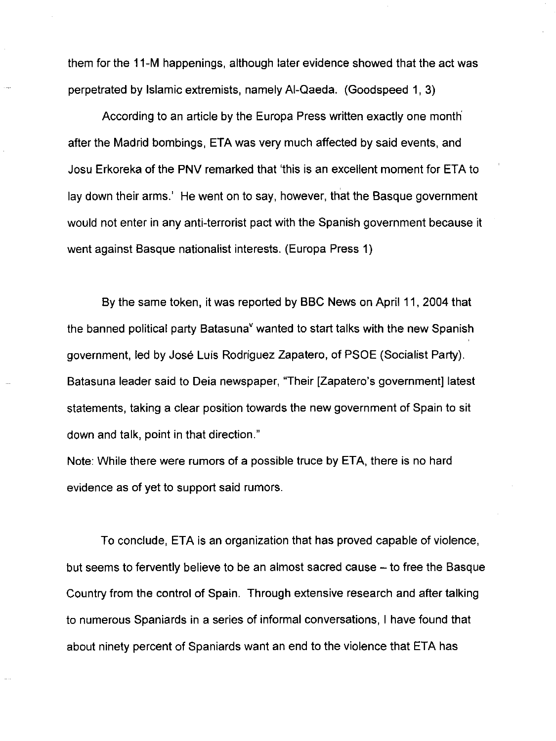them for the 11-M happenings, although later evidence showed that the act was perpetrated by Islamic extremists, namely AI-Qaeda. (Goodspeed 1, 3)

According to an article by the Europa Press written exactly one month after the Madrid bombings, ETA was very much affected by said events, and Josu Erkoreka of the PNV remarked that 'this is an excellent moment for ETA to lay down their arms.' He went on to say, however, that the Basque government would not enter in any anti-terrorist pact with the Spanish government because it went against Basque nationalist interests. (Europa Press 1)

By the same token, it was reported by BBC News on April 11, 2004 that the banned political party Batasuna<sup>y</sup> wanted to start talks with the new Spanish government, led by Jose Luis Rodriguez Zapatero, of PSOE (Socialist Party). Batasuna leader said to Deia newspaper, "Their [Zapatero's government] latest statements, taking a clear position towards the new government of Spain to sit down and talk, point in that direction."

Note: While there were rumors of a possible truce by ETA, there is no hard evidence as of yet to support said rumors.

To conclude, ETA is an organization that has proved capable of violence, but seems to fervently believe to be an almost sacred cause – to free the Basque Country from the control of Spain. Through extensive research and after talking to numerous Spaniards in a series of informal conversations, I have found that about ninety percent of Spaniards want an end to the violence that ETA has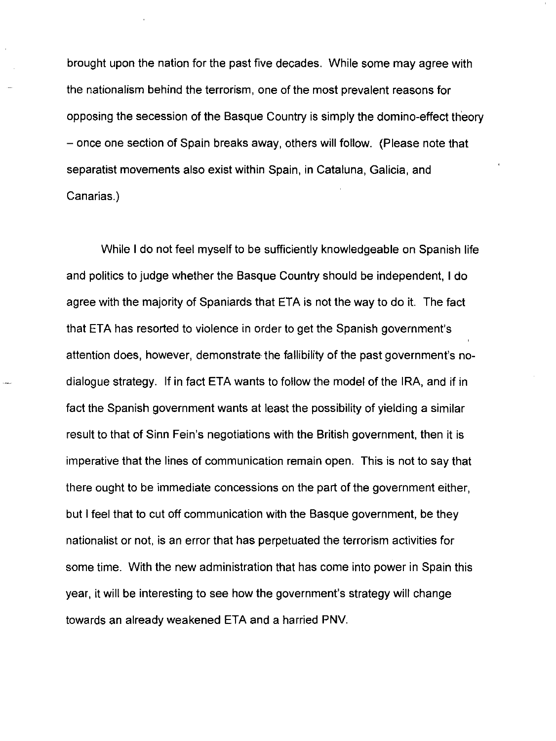brought upon the nation for the past five decades. While some may agree with the nationalism behind the terrorism, one of the most prevalent reasons for opposing the secession of the Basque Country is simply the domino-effect theory - once one section of Spain breaks away, others will follow. (Please note that separatist movements also exist within Spain, in Cataluna, Galicia, and Canarias.)

While I do not feel myself to be sufficiently knowledgeable on Spanish life and politics to judge whether the Basque Country should be independent, I do agree with the majority of Spaniards that ETA is not the way to do it. The fact that ETA has resorted to violence in order to get the Spanish government's attention does, however, demonstrate the fallibility of the past government's nodialogue strategy. If in fact ETA wants to follow the model of the IRA, and if in fact the Spanish government wants at least the possibility of yielding a similar result to that of Sinn Fein's negotiations with the British government. then it is imperative that the lines of communication remain open. This is not to say that there ought to be immediate concessions on the part of the government either, but I feel that to cut off communication with the Basque government, be they nationalist or not, is an error that has perpetuated the terrorism activities for some time. With the new administration that has come into power in Spain this year, it will be interesting to see how the government's strategy will change towards an already weakened ETA and a harried PNV.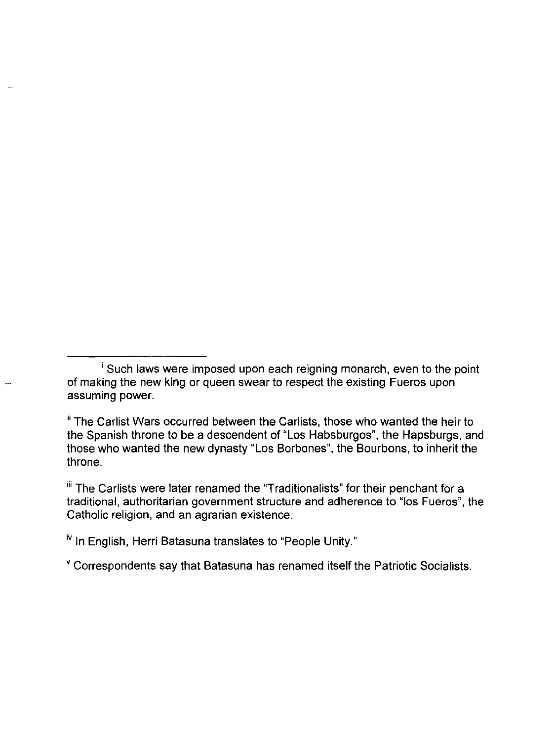$\mathbf{u}$  The Carlists were later renamed the "Traditionalists" for their penchant for a traditional, authoritarian government structure and adherence to "los Fueros", the Catholic religion, and an agrarian existence.

iv In English, Herri Batasuna translates to "People Unity."

v Correspondents say that Batasuna has renamed itself the Patriotic Socialists.

i Such laws were imposed upon each reigning monarch, even to the point of making the new king or queen swear to respect the existing Fueros upon assuming power.

<sup>&</sup>lt;sup>ii</sup> The Carlist Wars occurred between the Carlists, those who wanted the heir to the Spanish throne to be a descendent of "Los Habsburgos", the Hapsburgs, and those who wanted the new dynasty "Los Borbones", the Bourbons, to inherit the throne.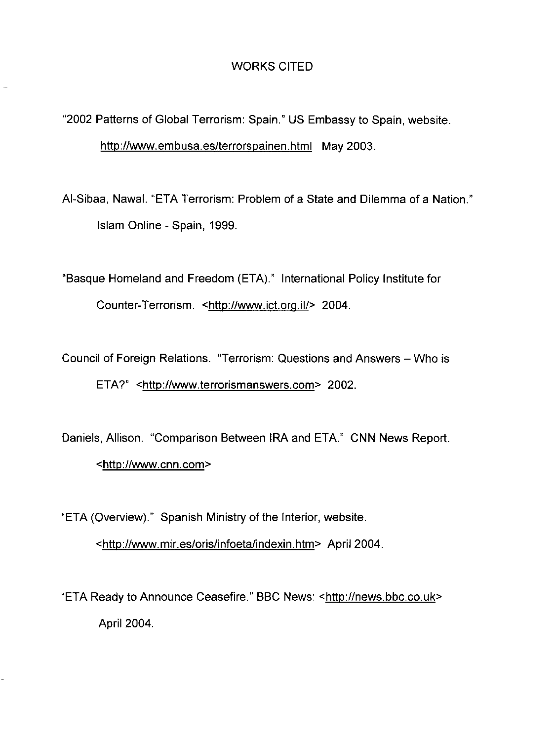## WORKS CITED

"2002 Patterns of Global Terrorism: Spain." US Embassy to Spain, website. http://www.embusa.es/terrorspainen.html May 2003.

AI-Sibaa, Nawal. "ETA Terrorism: Problem of a State and Dilemma of a Nation." Islam Online - Spain, 1999.

"Basque Homeland and Freedom (ETA)." International Policy Institute for Counter-Terrorism. <http://www.ict.org.iI/> 2004.

Council of Foreign Relations. "Terrorism: Questions and Answers - Who is ETA?" <http://www.terrorismanswers.com> 2002.

Daniels, Allison. "Comparison Between IRA and ETA." CNN News Report. <http://www.cnn.com>

"ETA (Overview)." Spanish Ministry of the Interior, website.

<http://www.mir.es/oris/infoeta/indexin.htm> April 2004.

"ETA Ready to Announce Ceasefire." BBC News: <http://news.bbc.co.uk> April 2004.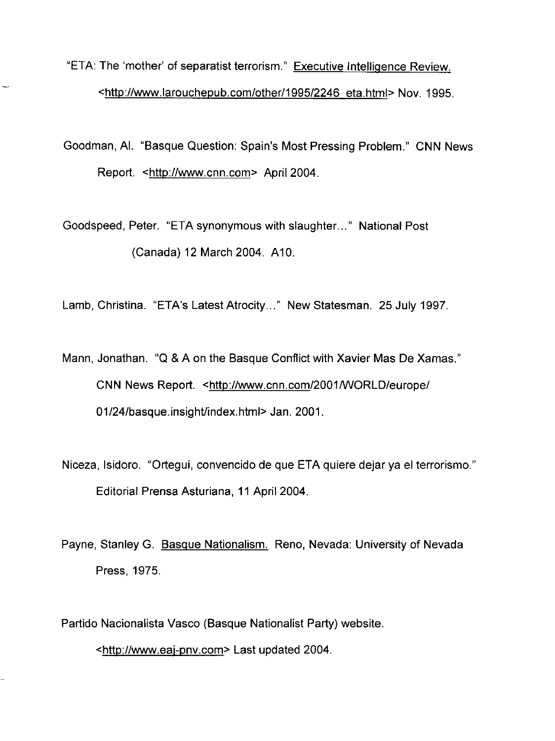"ETA: The 'mother' of separatist terrorism." Executive Intelligence Review. <http://www.larouchepub.com/other/1995/2246 eta.html> Nov. 1995.

Goodman, AI. "Basque Question: Spain's Most Pressing Problem." CNN News Report. <http://www.cnn.com> April 2004.

Goodspeed, Peter. "ETA synonymous with slaughter ... " National Post (Canada) 12 March 2004. A 10.

Lamb, Christina. "ETA's Latest Atrocity..." New Statesman. 25 July 1997.

Mann, Jonathan. "Q & A on the Basque Conflict with Xavier Mas De Xamas." CNN News Report. < http://www.cnn.com/2001/WORLD/europe/ 01/24/basque.insighUindex.html> Jan. 2001.

Niceza, Isidoro. "Ortegui, convencido de que ETA quiere dejar ya el terrorismo." Editorial Prensa Asturiana, 11 April 2004.

Payne, Stanley G. Basque Nationalism. Reno, Nevada: University of Nevada Press, 1975.

Partido Nacionalista Vasco (Basque Nationalist Party) website.

<http://www.eaj-pnv.com> Last updated 2004.